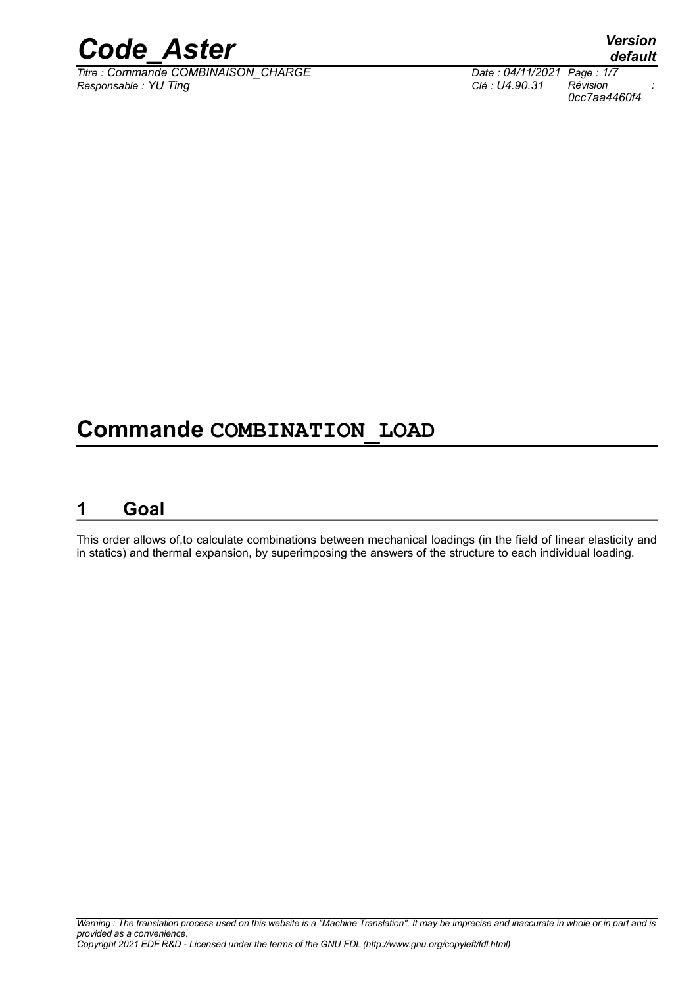

*Titre : Commande COMBINAISON\_CHARGE Date : 04/11/2021 Page : 1/7 Responsable : YU Ting Clé : U4.90.31 Révision :*

*default 0cc7aa4460f4*

## **Commande COMBINATION\_LOAD**

### **1 Goal**

This order allows of,to calculate combinations between mechanical loadings (in the field of linear elasticity and in statics) and thermal expansion, by superimposing the answers of the structure to each individual loading.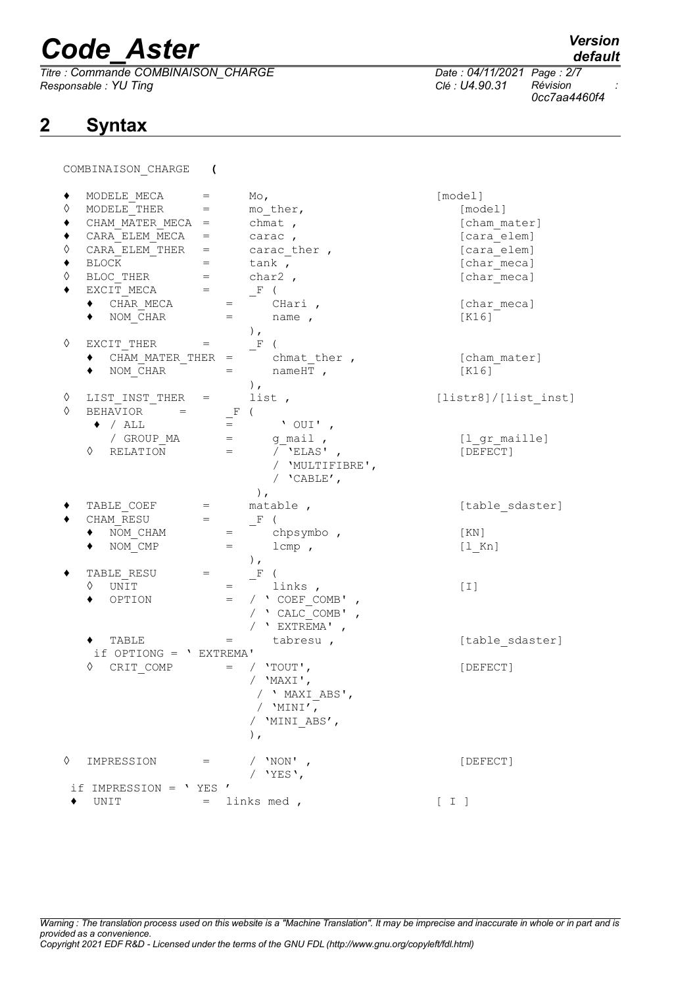*Titre : Commande COMBINAISON\_CHARGE Date : 04/11/2021 Page : 2/7 Responsable : YU Ting* 

## **2 Syntax**

*default*

*0cc7aa4460f4*

COMBINAISON\_CHARGE **(**

| ◊<br>◊<br>♦ | MODELE MECA<br>MODELE THER<br>CHAM MATER MECA =<br>CARA ELEM MECA<br>CARA ELEM THER<br><b>BLOCK</b><br>BLOC THER<br>EXCIT MECA<br>CHAR MECA<br>$\blacklozenge$ NOM CHAR | $=$<br>$=$<br>$\qquad \qquad =\qquad \qquad$<br>$=$ $\qquad$<br>$=$<br>$=$<br>$=$<br>$=$ | $\mathbb{M} \circ$ ,<br>mo ther,<br>chmat,<br>$=$ carac,<br>carac ther,<br>tank,<br>char2,<br>$-F$ (<br>CHari,<br>name,<br>$\,$ , $\,$ | [model]<br>[model]<br>[cham mater]<br>[cara elem]<br>[cara elem]<br>[char meca]<br>[char meca]<br>[char meca]<br>[K16] |
|-------------|-------------------------------------------------------------------------------------------------------------------------------------------------------------------------|------------------------------------------------------------------------------------------|----------------------------------------------------------------------------------------------------------------------------------------|------------------------------------------------------------------------------------------------------------------------|
| ♦           | EXCIT THER<br>CHAM MATER THER $=$<br>NOM CHAR                                                                                                                           | $=$<br>$=$                                                                               | F(<br>chmat ther,<br>nameHT,<br>$\,$ , $\,$                                                                                            | [cham mater]<br>[K16]                                                                                                  |
| ♦           | LIST INST THER =                                                                                                                                                        |                                                                                          | list,                                                                                                                                  | [lists1] / [list inst]                                                                                                 |
| ♦           | BEHAVIOR<br>$=$<br>$\bullet$ / ALL<br>/ GROUP MA                                                                                                                        | $=$                                                                                      | $\_^{\rm F}$<br>$'$ OUI',<br>g mail,<br>$=$                                                                                            | [l gr maille]                                                                                                          |
|             | $\Diamond$ RELATION                                                                                                                                                     | $=$                                                                                      | $\overline{V}$ 'ELAS',<br>/ 'MULTIFIBRE',<br>/ $'$ CABLE',<br>$\,$ ,                                                                   | [DEFECT]                                                                                                               |
|             | TABLE COEF                                                                                                                                                              | $=$                                                                                      | matable,                                                                                                                               | [table sdaster]                                                                                                        |
|             | CHAM RESU                                                                                                                                                               | $=$                                                                                      | $F$ (                                                                                                                                  |                                                                                                                        |
|             | NOM CHAM                                                                                                                                                                | $=$                                                                                      | chpsymbo,                                                                                                                              | [KN]                                                                                                                   |
|             | NOM CMP                                                                                                                                                                 | $=$                                                                                      | $1$ cmp,                                                                                                                               | $[1$ Kn]                                                                                                               |
|             |                                                                                                                                                                         |                                                                                          | $\,$ ,                                                                                                                                 |                                                                                                                        |
|             | TABLE RESU                                                                                                                                                              | $=$                                                                                      | F<br>$\sqrt{2}$                                                                                                                        |                                                                                                                        |
|             | ♦<br>UNIT<br>OPTION                                                                                                                                                     | $=$                                                                                      | links,<br>/ ' COEF COMB'<br>$=$                                                                                                        | [T]                                                                                                                    |
|             |                                                                                                                                                                         |                                                                                          | / $'$ CALC COMB',                                                                                                                      |                                                                                                                        |
|             |                                                                                                                                                                         |                                                                                          | / $'$ EXTREMA',                                                                                                                        |                                                                                                                        |
|             | $\blacklozenge$ TABLE                                                                                                                                                   |                                                                                          | tabresu,                                                                                                                               | [table sdaster]                                                                                                        |
|             | if OPTIONG = ' EXTREMA'                                                                                                                                                 |                                                                                          |                                                                                                                                        |                                                                                                                        |
|             | ♦<br>CRIT COMP                                                                                                                                                          |                                                                                          | / $'$ TOUT',<br>$=$                                                                                                                    | [DEFECT]                                                                                                               |
|             |                                                                                                                                                                         |                                                                                          | / $'MAXI',$                                                                                                                            |                                                                                                                        |
|             |                                                                                                                                                                         |                                                                                          | / ' MAXI ABS',                                                                                                                         |                                                                                                                        |
|             |                                                                                                                                                                         |                                                                                          | / $'MINI'$ ,                                                                                                                           |                                                                                                                        |
|             |                                                                                                                                                                         |                                                                                          | / 'MINI ABS',<br>$\,$ ,                                                                                                                |                                                                                                                        |
| ♦           | IMPRESSION =                                                                                                                                                            |                                                                                          | / 'NON' ,                                                                                                                              | [DEFECT]                                                                                                               |
|             |                                                                                                                                                                         |                                                                                          | / $'YES'$ ,                                                                                                                            |                                                                                                                        |
|             | if IMPRESSION = 'YES'                                                                                                                                                   |                                                                                          |                                                                                                                                        |                                                                                                                        |
| ٠           | UNIT                                                                                                                                                                    |                                                                                          | $=$ links med,                                                                                                                         | $[\begin{array}{cc} \texttt{I} \end{array}]$                                                                           |

*Warning : The translation process used on this website is a "Machine Translation". It may be imprecise and inaccurate in whole or in part and is provided as a convenience. Copyright 2021 EDF R&D - Licensed under the terms of the GNU FDL (http://www.gnu.org/copyleft/fdl.html)*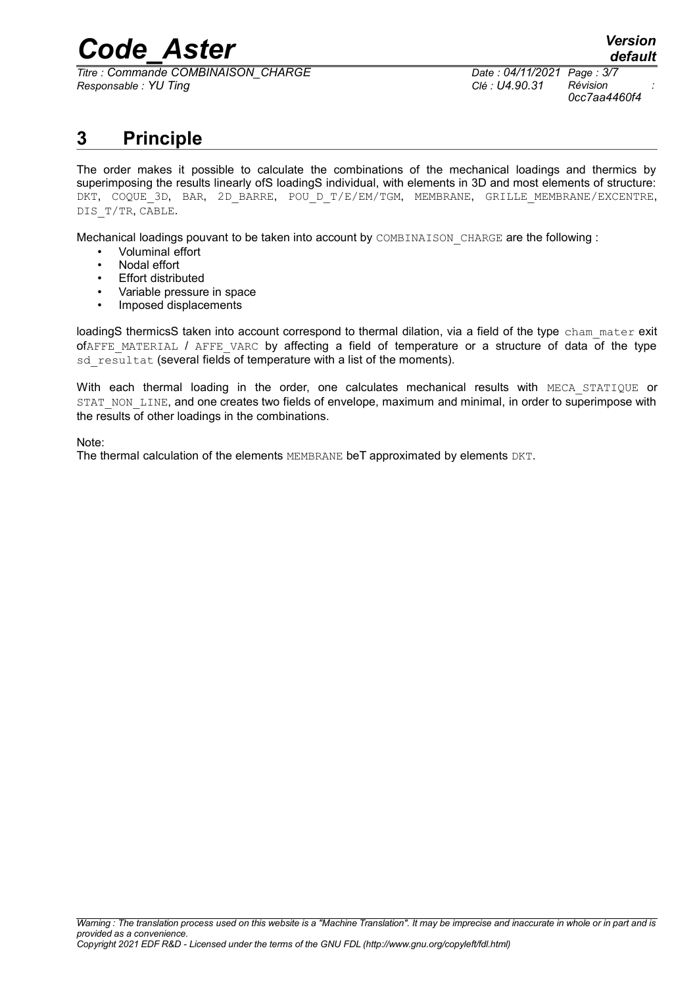*Titre : Commande COMBINAISON\_CHARGE Date : 04/11/2021 Page : 3/7 Responsable : YU Ting Clé : U4.90.31 Révision :*

*0cc7aa4460f4*

### **3 Principle**

The order makes it possible to calculate the combinations of the mechanical loadings and thermics by superimposing the results linearly ofS loadingS individual, with elements in 3D and most elements of structure: DKT, COQUE 3D, BAR, 2D BARRE, POU D T/E/EM/TGM, MEMBRANE, GRILLE MEMBRANE/EXCENTRE, DIS T/TR, CABLE.

Mechanical loadings pouvant to be taken into account by COMBINAISON CHARGE are the following :

- Voluminal effort
- Nodal effort
- Effort distributed
- Variable pressure in space
- Imposed displacements

loadingS thermicsS taken into account correspond to thermal dilation, via a field of the type cham mater exit  $of$ AFFE\_MATERIAL / AFFE\_VARC by affecting a field of temperature or a structure of data of the type sd resultat (several fields of temperature with a list of the moments).

With each thermal loading in the order, one calculates mechanical results with MECA STATIQUE or STAT\_NON\_LINE, and one creates two fields of envelope, maximum and minimal, in order to superimpose with the results of other loadings in the combinations.

Note:

The thermal calculation of the elements MEMBRANE beT approximated by elements DKT.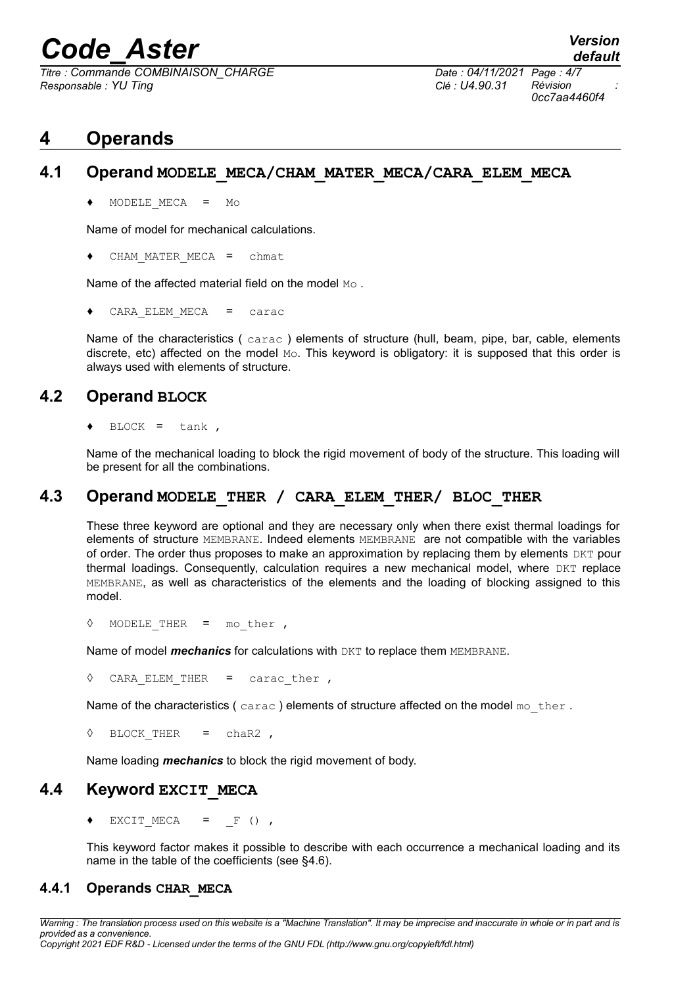*Titre : Commande COMBINAISON\_CHARGE Date : 04/11/2021 Page : 4/7 Responsable : YU Ting Clé : U4.90.31 Révision :*

### **4 Operands**

#### **4.1 Operand MODELE\_MECA/CHAM\_MATER\_MECA/CARA\_ELEM\_MECA**

♦ MODELE\_MECA = Mo

Name of model for mechanical calculations.

CHAM\_MATER\_MECA = chmat

Name of the affected material field on the model Mo.

 $CARA$  ELEM MECA = carac

Name of the characteristics (carac) elements of structure (hull, beam, pipe, bar, cable, elements discrete, etc) affected on the model Mo. This keyword is obligatory: it is supposed that this order is always used with elements of structure.

#### **4.2 Operand BLOCK**

 $BLOCK = tank$ ,

Name of the mechanical loading to block the rigid movement of body of the structure. This loading will be present for all the combinations.

#### **4.3 Operand MODELE\_THER / CARA\_ELEM\_THER/ BLOC\_THER**

These three keyword are optional and they are necessary only when there exist thermal loadings for elements of structure MEMBRANE. Indeed elements MEMBRANE are not compatible with the variables of order. The order thus proposes to make an approximation by replacing them by elements DKT pour thermal loadings. Consequently, calculation requires a new mechanical model, where  $DKT$  replace MEMBRANE, as well as characteristics of the elements and the loading of blocking assigned to this model.

◊ MODELE\_THER = mo\_ther ,

Name of model *mechanics* for calculations with DKT to replace them MEMBRANE.

◊ CARA\_ELEM\_THER = carac\_ther ,

Name of the characteristics (carac) elements of structure affected on the model mo ther.

◊ BLOCK\_THER = chaR2 ,

Name loading *mechanics* to block the rigid movement of body.

#### **4.4 Keyword EXCIT\_MECA**

EXCIT MECA =  $F$  (),

This keyword factor makes it possible to describe with each occurrence a mechanical loading and its name in the table of the coefficients (see [§4.6\)](#page-4-0).

#### **4.4.1 Operands CHAR\_MECA**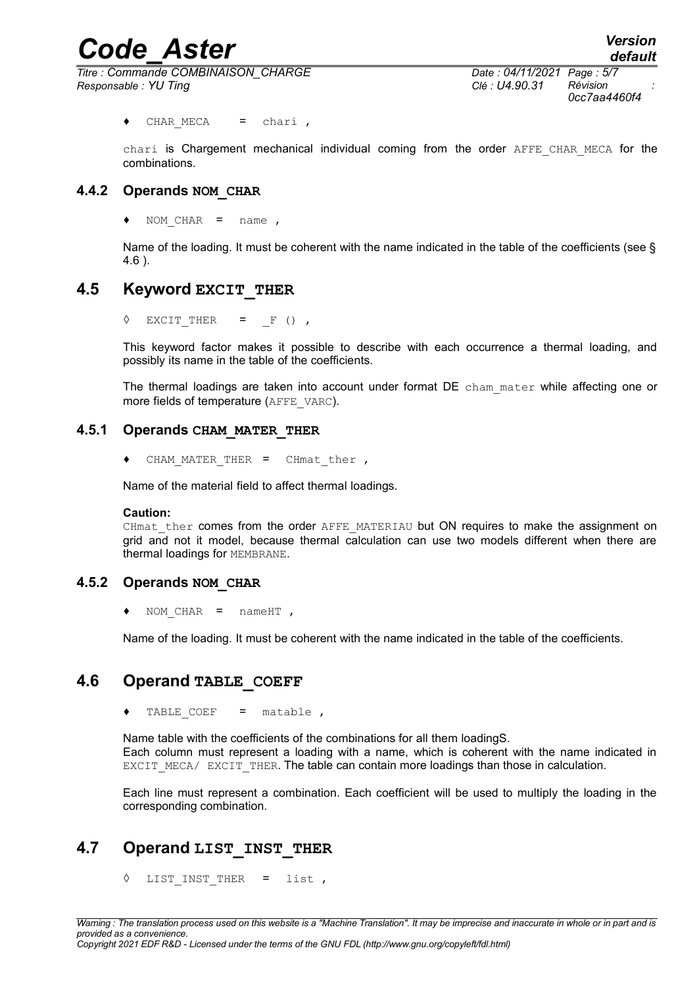*Titre : Commande COMBINAISON\_CHARGE Date : 04/11/2021 Page : 5/7 Responsable : YU Ting Clé : U4.90.31 Révision :*

*0cc7aa4460f4*

*default*

♦ CHAR\_MECA = chari ,

chari is Chargement mechanical individual coming from the order AFFE CHAR MECA for the combinations.

#### **4.4.2 Operands NOM\_CHAR**

♦ NOM\_CHAR = name ,

Name of the loading. It must be coherent with the name indicated in the table of the coefficients (see § [4.6](#page-4-0) ).

#### **4.5 Keyword EXCIT\_THER**

 $\Diamond$  EXCIT\_THER =  $_F$  (),

This keyword factor makes it possible to describe with each occurrence a thermal loading, and possibly its name in the table of the coefficients.

The thermal loadings are taken into account under format DE cham mater while affecting one or more fields of temperature (AFFE\_VARC).

#### **4.5.1 Operands CHAM\_MATER\_THER**

♦ CHAM\_MATER\_THER = CHmat\_ther ,

Name of the material field to affect thermal loadings.

#### **Caution:**

CHmat ther comes from the order AFFE\_MATERIAU but ON requires to make the assignment on grid and not it model, because thermal calculation can use two models different when there are thermal loadings for MEMBRANE.

#### **4.5.2 Operands NOM\_CHAR**

♦ NOM\_CHAR = nameHT ,

Name of the loading. It must be coherent with the name indicated in the table of the coefficients.

#### **4.6 Operand TABLE\_COEFF**

<span id="page-4-0"></span>♦ TABLE\_COEF = matable ,

Name table with the coefficients of the combinations for all them loadingS. Each column must represent a loading with a name, which is coherent with the name indicated in EXCIT\_MECA/ EXCIT\_THER. The table can contain more loadings than those in calculation.

Each line must represent a combination. Each coefficient will be used to multiply the loading in the corresponding combination.

#### **4.7 Operand LIST\_INST\_THER**

◊ LIST\_INST\_THER = list ,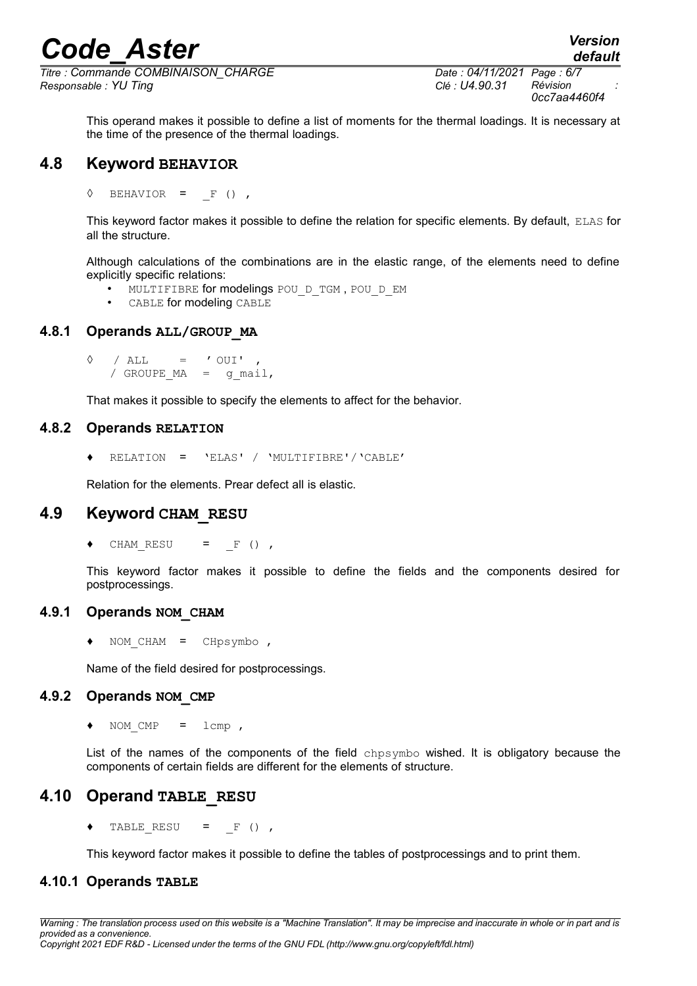*Titre : Commande COMBINAISON\_CHARGE Date : 04/11/2021 Page : 6/7 Responsable : YU Ting Clé : U4.90.31 Révision :*

*default*

This operand makes it possible to define a list of moments for the thermal loadings. It is necessary at the time of the presence of the thermal loadings.

#### **4.8 Keyword BEHAVIOR**

 $\Diamond$  BEHAVIOR = F (),

This keyword factor makes it possible to define the relation for specific elements. By default, ELAS for all the structure.

Although calculations of the combinations are in the elastic range, of the elements need to define explicitly specific relations:

- MULTIFIBRE for modelings POU D\_TGM, POU\_D\_EM
- CABLE for modeling CABLE

#### **4.8.1 Operands ALL/GROUP\_MA**

```
\Diamond / ALL = ' OUI'
/ GROUPE MA = q mail,
```
That makes it possible to specify the elements to affect for the behavior.

#### **4.8.2 Operands RELATION**

♦ RELATION = 'ELAS' / 'MULTIFIBRE'/'CABLE'

Relation for the elements. Prear defect all is elastic.

#### **4.9 Keyword CHAM\_RESU**

 $\bullet$  CHAM RESU = F (),

This keyword factor makes it possible to define the fields and the components desired for postprocessings.

#### **4.9.1 Operands NOM\_CHAM**

♦ NOM\_CHAM = CHpsymbo ,

Name of the field desired for postprocessings.

#### **4.9.2 Operands NOM\_CMP**

♦ NOM\_CMP = lcmp ,

List of the names of the components of the field chpsymbo wished. It is obligatory because the components of certain fields are different for the elements of structure.

#### **4.10 Operand TABLE\_RESU**

 $\triangleleft$  TABLE RESU = F (),

This keyword factor makes it possible to define the tables of postprocessings and to print them.

#### **4.10.1 Operands TABLE**